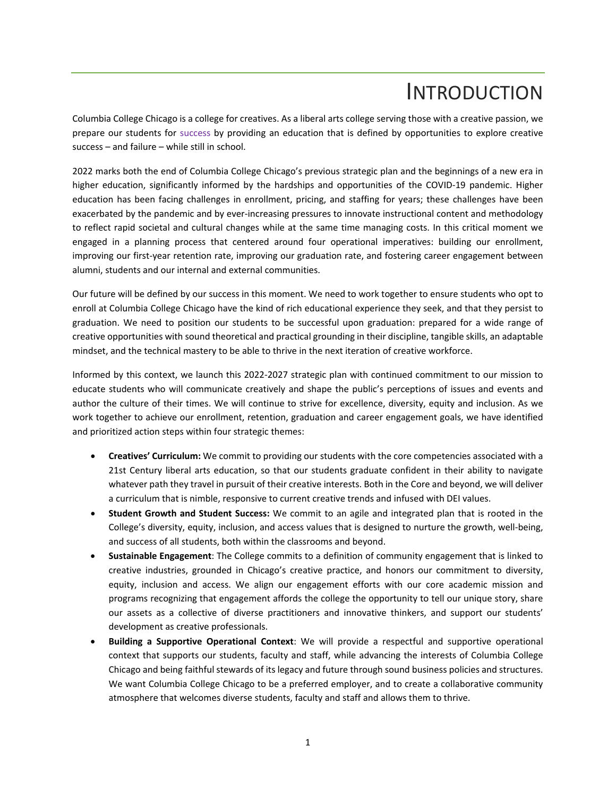## INTRODUCTION

Columbia College Chicago is a college for creatives. As a liberal arts college serving those with a creative passion, we prepare our students for success by providing an education that is defined by opportunities to explore creative success – and failure – while still in school.

2022 marks both the end of Columbia College Chicago's previous strategic plan and the beginnings of a new era in higher education, significantly informed by the hardships and opportunities of the COVID-19 pandemic. Higher education has been facing challenges in enrollment, pricing, and staffing for years; these challenges have been exacerbated by the pandemic and by ever-increasing pressures to innovate instructional content and methodology to reflect rapid societal and cultural changes while at the same time managing costs. In this critical moment we engaged in a planning process that centered around four operational imperatives: building our enrollment, improving our first-year retention rate, improving our graduation rate, and fostering career engagement between alumni, students and our internal and external communities.

Our future will be defined by our success in this moment. We need to work together to ensure students who opt to enroll at Columbia College Chicago have the kind of rich educational experience they seek, and that they persist to graduation. We need to position our students to be successful upon graduation: prepared for a wide range of creative opportunities with sound theoretical and practical grounding in their discipline, tangible skills, an adaptable mindset, and the technical mastery to be able to thrive in the next iteration of creative workforce.

Informed by this context, we launch this 2022-2027 strategic plan with continued commitment to our mission to educate students who will communicate creatively and shape the public's perceptions of issues and events and author the culture of their times. We will continue to strive for excellence, diversity, equity and inclusion. As we work together to achieve our enrollment, retention, graduation and career engagement goals, we have identified and prioritized action steps within four strategic themes:

- **Creatives' Curriculum:** We commit to providing our students with the core competencies associated with a 21st Century liberal arts education, so that our students graduate confident in their ability to navigate whatever path they travel in pursuit of their creative interests. Both in the Core and beyond, we will deliver a curriculum that is nimble, responsive to current creative trends and infused with DEI values.
- **Student Growth and Student Success:** We commit to an agile and integrated plan that is rooted in the College's diversity, equity, inclusion, and access values that is designed to nurture the growth, well-being, and success of all students, both within the classrooms and beyond.
- **Sustainable Engagement**: The College commits to a definition of community engagement that is linked to creative industries, grounded in Chicago's creative practice, and honors our commitment to diversity, equity, inclusion and access. We align our engagement efforts with our core academic mission and programs recognizing that engagement affords the college the opportunity to tell our unique story, share our assets as a collective of diverse practitioners and innovative thinkers, and support our students' development as creative professionals.
- **Building a Supportive Operational Context**: We will provide a respectful and supportive operational context that supports our students, faculty and staff, while advancing the interests of Columbia College Chicago and being faithful stewards of its legacy and future through sound business policies and structures. We want Columbia College Chicago to be a preferred employer, and to create a collaborative community atmosphere that welcomes diverse students, faculty and staff and allows them to thrive.